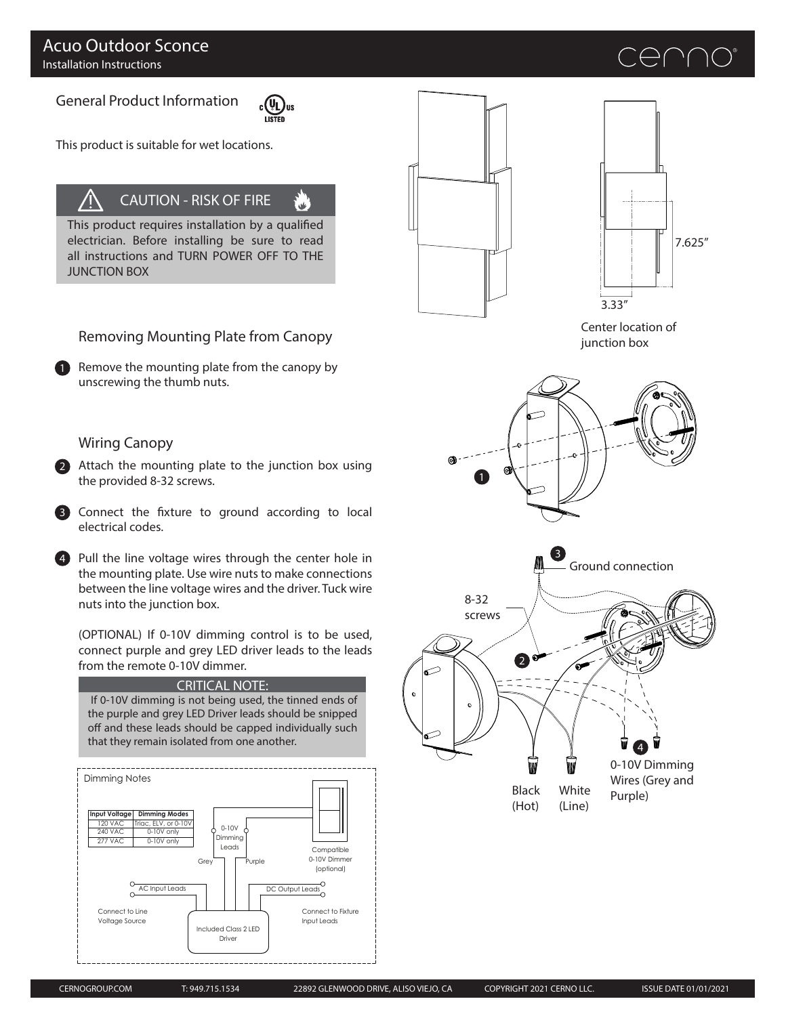General Product Information



.<br>⊌⊌

This product is suitable for wet locations.

# CAUTION - RISK OF FIRE

This product requires installation by a qualified electrician. Before installing be sure to read all instructions and TURN POWER OFF TO THE JUNCTION BOX





enn

Center location of junction box



# Removing Mounting Plate from Canopy

1 Remove the mounting plate from the canopy by unscrewing the thumb nuts.

## Wiring Canopy

2 Attach the mounting plate to the junction box using the provided 8-32 screws.

3 Connect the fixture to ground according to local electrical codes.

4 Pull the line voltage wires through the center hole in  $\blacksquare$ the mounting plate. Use wire nuts to make connections between the line voltage wires and the driver. Tuck wire nuts into the junction box.

(OPTIONAL) If 0-10V dimming control is to be used, connect purple and grey LED driver leads to the leads from the remote 0-10V dimmer.

#### CRITICAL NOTE:

 If 0-10V dimming is not being used, the tinned ends of the purple and grey LED Driver leads should be snipped off and these leads should be capped individually such that they remain isolated from one another.